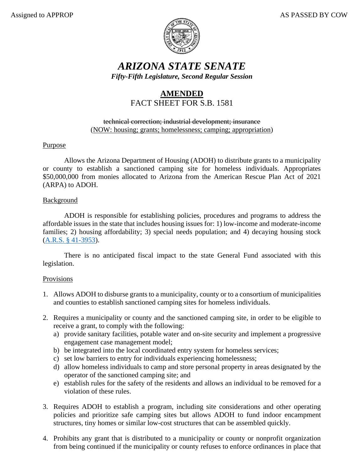

## *ARIZONA STATE SENATE Fifty-Fifth Legislature, Second Regular Session*

# **AMENDED** FACT SHEET FOR S.B. 1581

#### technical correction; industrial development; insurance (NOW: housing; grants; homelessness; camping; appropriation)

### Purpose

Allows the Arizona Department of Housing (ADOH) to distribute grants to a municipality or county to establish a sanctioned camping site for homeless individuals. Appropriates \$50,000,000 from monies allocated to Arizona from the American Rescue Plan Act of 2021 (ARPA) to ADOH.

### **Background**

ADOH is responsible for establishing policies, procedures and programs to address the affordable issues in the state that includes housing issues for: 1) low-income and moderate-income families; 2) housing affordability; 3) special needs population; and 4) decaying housing stock [\(A.R.S. § 41-3953\)](https://www.azleg.gov/viewdocument/?docName=https://www.azleg.gov/ars/41/03953.htm).

There is no anticipated fiscal impact to the state General Fund associated with this legislation.

### Provisions

- 1. Allows ADOH to disburse grants to a municipality, county or to a consortium of municipalities and counties to establish sanctioned camping sites for homeless individuals.
- 2. Requires a municipality or county and the sanctioned camping site, in order to be eligible to receive a grant, to comply with the following:
	- a) provide sanitary facilities, potable water and on-site security and implement a progressive engagement case management model;
	- b) be integrated into the local coordinated entry system for homeless services;
	- c) set low barriers to entry for individuals experiencing homelessness;
	- d) allow homeless individuals to camp and store personal property in areas designated by the operator of the sanctioned camping site; and
	- e) establish rules for the safety of the residents and allows an individual to be removed for a violation of these rules.
- 3. Requires ADOH to establish a program, including site considerations and other operating policies and prioritize safe camping sites but allows ADOH to fund indoor encampment structures, tiny homes or similar low-cost structures that can be assembled quickly.
- 4. Prohibits any grant that is distributed to a municipality or county or nonprofit organization from being continued if the municipality or county refuses to enforce ordinances in place that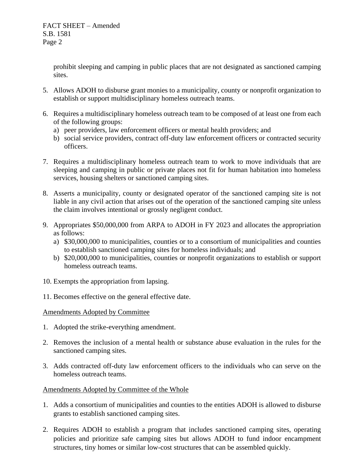FACT SHEET – Amended S.B. 1581 Page 2

> prohibit sleeping and camping in public places that are not designated as sanctioned camping sites.

- 5. Allows ADOH to disburse grant monies to a municipality, county or nonprofit organization to establish or support multidisciplinary homeless outreach teams.
- 6. Requires a multidisciplinary homeless outreach team to be composed of at least one from each of the following groups:
	- a) peer providers, law enforcement officers or mental health providers; and
	- b) social service providers, contract off-duty law enforcement officers or contracted security officers.
- 7. Requires a multidisciplinary homeless outreach team to work to move individuals that are sleeping and camping in public or private places not fit for human habitation into homeless services, housing shelters or sanctioned camping sites.
- 8. Asserts a municipality, county or designated operator of the sanctioned camping site is not liable in any civil action that arises out of the operation of the sanctioned camping site unless the claim involves intentional or grossly negligent conduct.
- 9. Appropriates \$50,000,000 from ARPA to ADOH in FY 2023 and allocates the appropriation as follows:
	- a) \$30,000,000 to municipalities, counties or to a consortium of municipalities and counties to establish sanctioned camping sites for homeless individuals; and
	- b) \$20,000,000 to municipalities, counties or nonprofit organizations to establish or support homeless outreach teams.
- 10. Exempts the appropriation from lapsing.
- 11. Becomes effective on the general effective date.

### Amendments Adopted by Committee

- 1. Adopted the strike-everything amendment.
- 2. Removes the inclusion of a mental health or substance abuse evaluation in the rules for the sanctioned camping sites.
- 3. Adds contracted off-duty law enforcement officers to the individuals who can serve on the homeless outreach teams.

### Amendments Adopted by Committee of the Whole

- 1. Adds a consortium of municipalities and counties to the entities ADOH is allowed to disburse grants to establish sanctioned camping sites.
- 2. Requires ADOH to establish a program that includes sanctioned camping sites, operating policies and prioritize safe camping sites but allows ADOH to fund indoor encampment structures, tiny homes or similar low-cost structures that can be assembled quickly.